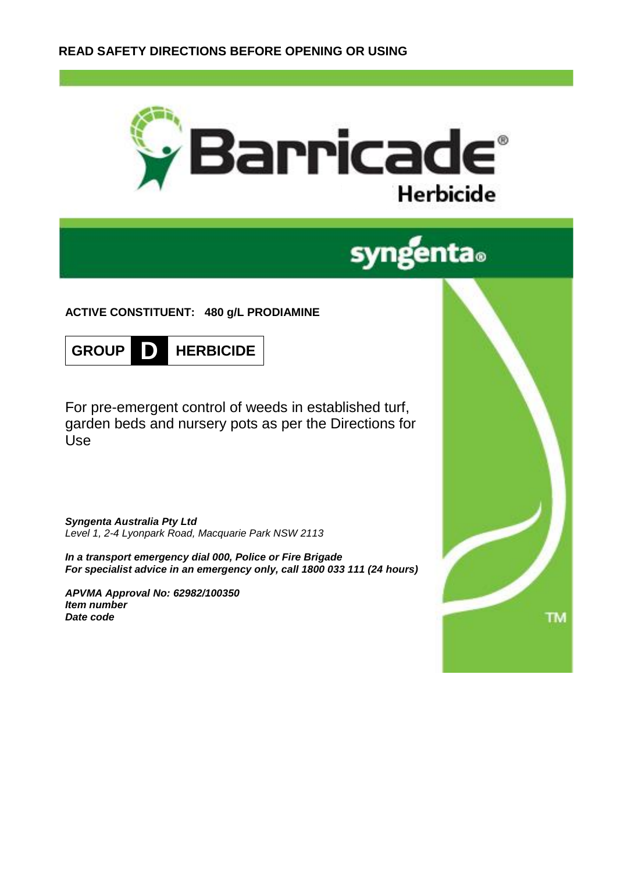



# **ACTIVE CONSTITUENT: 480 g/L PRODIAMINE**



For pre-emergent control of weeds in established turf, garden beds and nursery pots as per the Directions for Use

*Syngenta Australia Pty Ltd Level 1, 2-4 Lyonpark Road, Macquarie Park NSW 2113*

*In a transport emergency dial 000, Police or Fire Brigade For specialist advice in an emergency only, call 1800 033 111 (24 hours)*

*APVMA Approval No: 62982/100350 Item number Date code*

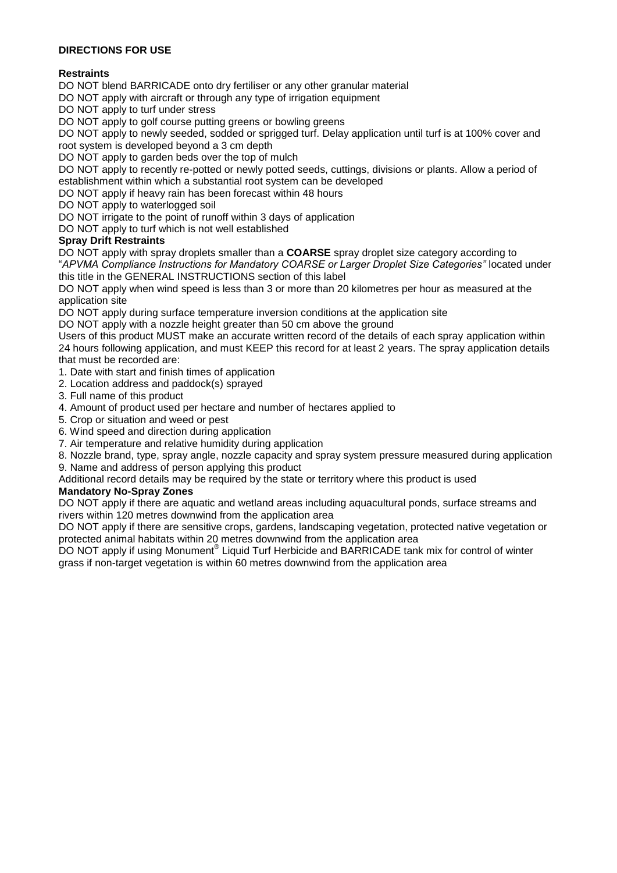# **DIRECTIONS FOR USE**

# **Restraints**

DO NOT blend BARRICADE onto dry fertiliser or any other granular material

DO NOT apply with aircraft or through any type of irrigation equipment

DO NOT apply to turf under stress

DO NOT apply to golf course putting greens or bowling greens

DO NOT apply to newly seeded, sodded or sprigged turf. Delay application until turf is at 100% cover and root system is developed beyond a 3 cm depth

DO NOT apply to garden beds over the top of mulch

DO NOT apply to recently re-potted or newly potted seeds, cuttings, divisions or plants. Allow a period of establishment within which a substantial root system can be developed

DO NOT apply if heavy rain has been forecast within 48 hours

DO NOT apply to waterlogged soil

DO NOT irrigate to the point of runoff within 3 days of application

DO NOT apply to turf which is not well established

## **Spray Drift Restraints**

DO NOT apply with spray droplets smaller than a **COARSE** spray droplet size category according to "*APVMA Compliance Instructions for Mandatory COARSE or Larger Droplet Size Categories"* located under this title in the GENERAL INSTRUCTIONS section of this label

DO NOT apply when wind speed is less than 3 or more than 20 kilometres per hour as measured at the application site

DO NOT apply during surface temperature inversion conditions at the application site

DO NOT apply with a nozzle height greater than 50 cm above the ground

Users of this product MUST make an accurate written record of the details of each spray application within 24 hours following application, and must KEEP this record for at least 2 years. The spray application details that must be recorded are:

1. Date with start and finish times of application

- 2. Location address and paddock(s) sprayed
- 3. Full name of this product
- 4. Amount of product used per hectare and number of hectares applied to
- 5. Crop or situation and weed or pest
- 6. Wind speed and direction during application
- 7. Air temperature and relative humidity during application
- 8. Nozzle brand, type, spray angle, nozzle capacity and spray system pressure measured during application

9. Name and address of person applying this product

Additional record details may be required by the state or territory where this product is used

#### **Mandatory No-Spray Zones**

DO NOT apply if there are aquatic and wetland areas including aquacultural ponds, surface streams and rivers within 120 metres downwind from the application area

DO NOT apply if there are sensitive crops, gardens, landscaping vegetation, protected native vegetation or protected animal habitats within 20 metres downwind from the application area

DO NOT apply if using Monument® Liquid Turf Herbicide and BARRICADE tank mix for control of winter grass if non-target vegetation is within 60 metres downwind from the application area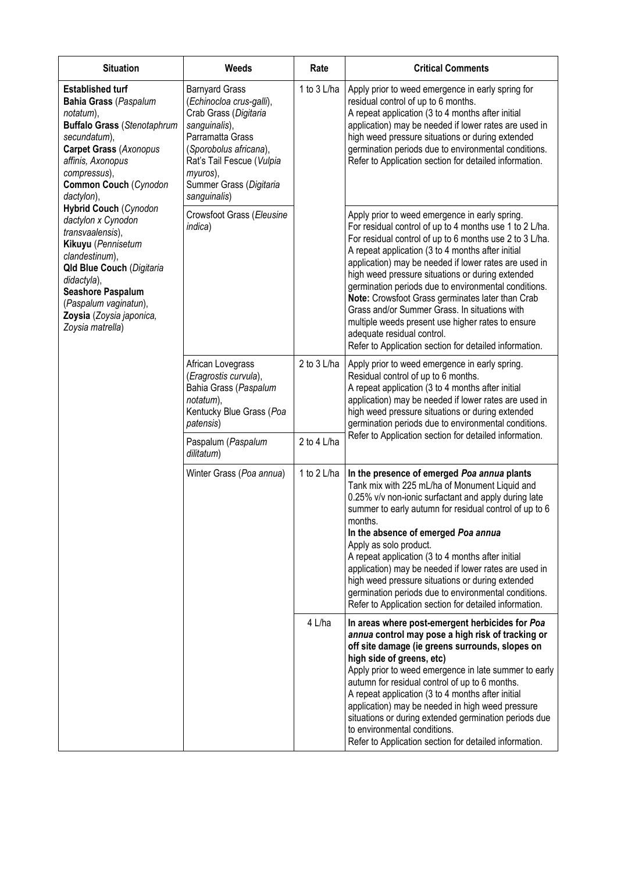| <b>Situation</b>                                                                                                                                                                                                                                                                                                                                                                                                                                                                                           | Weeds                                                                                                                                                                                                                         | Rate        | <b>Critical Comments</b>                                                                                                                                                                                                                                                                                                                                                                                                                                                                                                                                                                                                                         |  |
|------------------------------------------------------------------------------------------------------------------------------------------------------------------------------------------------------------------------------------------------------------------------------------------------------------------------------------------------------------------------------------------------------------------------------------------------------------------------------------------------------------|-------------------------------------------------------------------------------------------------------------------------------------------------------------------------------------------------------------------------------|-------------|--------------------------------------------------------------------------------------------------------------------------------------------------------------------------------------------------------------------------------------------------------------------------------------------------------------------------------------------------------------------------------------------------------------------------------------------------------------------------------------------------------------------------------------------------------------------------------------------------------------------------------------------------|--|
| <b>Established turf</b><br><b>Bahia Grass (Paspalum</b><br>notatum),<br><b>Buffalo Grass (Stenotaphrum</b><br>secundatum),<br><b>Carpet Grass (Axonopus</b><br>affinis, Axonopus<br>compressus),<br>Common Couch (Cynodon<br>dactylon),<br><b>Hybrid Couch (Cynodon</b><br>dactylon x Cynodon<br>transvaalensis),<br>Kikuyu (Pennisetum<br>clandestinum),<br><b>Qld Blue Couch (Digitaria</b><br>didactyla),<br>Seashore Paspalum<br>(Paspalum vaginatun),<br>Zoysia (Zoysia japonica,<br>Zoysia matrella) | <b>Barnyard Grass</b><br>(Echinocloa crus-galli),<br>Crab Grass (Digitaria<br>sanguinalis),<br>Parramatta Grass<br>(Sporobolus africana),<br>Rat's Tail Fescue (Vulpia<br>myuros),<br>Summer Grass (Digitaria<br>sanguinalis) | 1 to 3 L/ha | Apply prior to weed emergence in early spring for<br>residual control of up to 6 months.<br>A repeat application (3 to 4 months after initial<br>application) may be needed if lower rates are used in<br>high weed pressure situations or during extended<br>germination periods due to environmental conditions.<br>Refer to Application section for detailed information.                                                                                                                                                                                                                                                                     |  |
|                                                                                                                                                                                                                                                                                                                                                                                                                                                                                                            | Crowsfoot Grass (Eleusine<br>indica)                                                                                                                                                                                          |             | Apply prior to weed emergence in early spring.<br>For residual control of up to 4 months use 1 to 2 L/ha.<br>For residual control of up to 6 months use 2 to 3 L/ha.<br>A repeat application (3 to 4 months after initial<br>application) may be needed if lower rates are used in<br>high weed pressure situations or during extended<br>germination periods due to environmental conditions.<br>Note: Crowsfoot Grass germinates later than Crab<br>Grass and/or Summer Grass. In situations with<br>multiple weeds present use higher rates to ensure<br>adequate residual control.<br>Refer to Application section for detailed information. |  |
|                                                                                                                                                                                                                                                                                                                                                                                                                                                                                                            | African Lovegrass<br>(Eragrostis curvula),<br>Bahia Grass (Paspalum<br>notatum),<br>Kentucky Blue Grass (Poa<br>patensis)                                                                                                     | 2 to 3 L/ha | Apply prior to weed emergence in early spring.<br>Residual control of up to 6 months.<br>A repeat application (3 to 4 months after initial<br>application) may be needed if lower rates are used in<br>high weed pressure situations or during extended<br>germination periods due to environmental conditions.<br>Refer to Application section for detailed information.                                                                                                                                                                                                                                                                        |  |
|                                                                                                                                                                                                                                                                                                                                                                                                                                                                                                            | Paspalum (Paspalum<br>dilitatum)                                                                                                                                                                                              | 2 to 4 L/ha |                                                                                                                                                                                                                                                                                                                                                                                                                                                                                                                                                                                                                                                  |  |
|                                                                                                                                                                                                                                                                                                                                                                                                                                                                                                            | Winter Grass (Poa annua)                                                                                                                                                                                                      | 1 to 2 L/ha | In the presence of emerged Poa annua plants<br>Tank mix with 225 mL/ha of Monument Liquid and<br>0.25% v/v non-ionic surfactant and apply during late<br>summer to early autumn for residual control of up to 6<br>months.<br>In the absence of emerged Poa annua<br>Apply as solo product.<br>A repeat application (3 to 4 months after initial<br>application) may be needed if lower rates are used in<br>high weed pressure situations or during extended<br>germination periods due to environmental conditions.<br>Refer to Application section for detailed information.                                                                  |  |
|                                                                                                                                                                                                                                                                                                                                                                                                                                                                                                            |                                                                                                                                                                                                                               | 4 L/ha      | In areas where post-emergent herbicides for Poa<br>annua control may pose a high risk of tracking or<br>off site damage (ie greens surrounds, slopes on<br>high side of greens, etc)<br>Apply prior to weed emergence in late summer to early<br>autumn for residual control of up to 6 months.<br>A repeat application (3 to 4 months after initial<br>application) may be needed in high weed pressure<br>situations or during extended germination periods due<br>to environmental conditions.<br>Refer to Application section for detailed information.                                                                                      |  |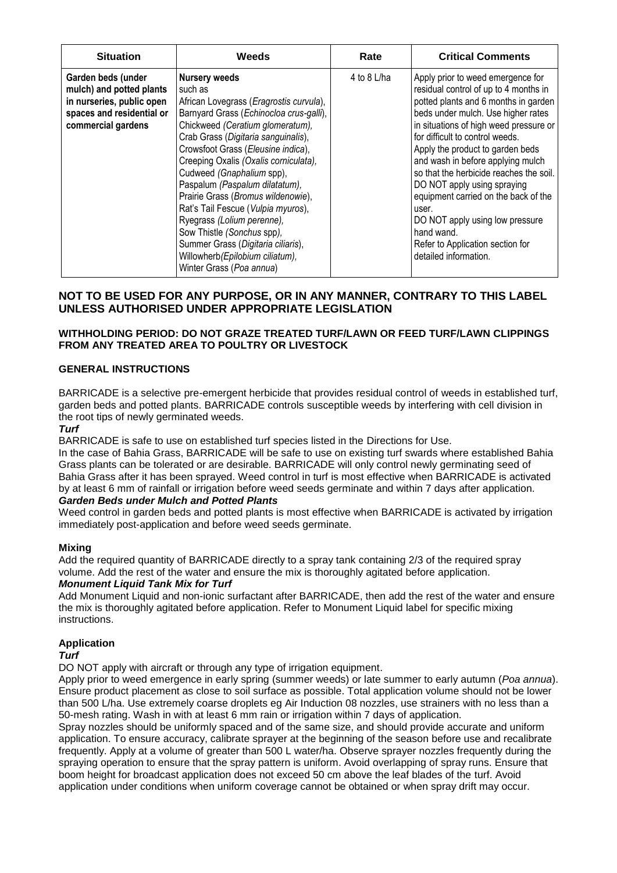| <b>Situation</b>                                                                                                               | Weeds                                                                                                                                                                                                                                                                                                                                                                                                                                                                                                                                                                                       | Rate        | <b>Critical Comments</b>                                                                                                                                                                                                                                                                                                                                                                                                                                                                                                                                |
|--------------------------------------------------------------------------------------------------------------------------------|---------------------------------------------------------------------------------------------------------------------------------------------------------------------------------------------------------------------------------------------------------------------------------------------------------------------------------------------------------------------------------------------------------------------------------------------------------------------------------------------------------------------------------------------------------------------------------------------|-------------|---------------------------------------------------------------------------------------------------------------------------------------------------------------------------------------------------------------------------------------------------------------------------------------------------------------------------------------------------------------------------------------------------------------------------------------------------------------------------------------------------------------------------------------------------------|
| Garden beds (under<br>mulch) and potted plants<br>in nurseries, public open<br>spaces and residential or<br>commercial gardens | <b>Nursery weeds</b><br>such as<br>African Lovegrass (Eragrostis curvula),<br>Barnyard Grass (Echinocloa crus-galli),<br>Chickweed (Ceratium glomeratum),<br>Crab Grass (Digitaria sanguinalis),<br>Crowsfoot Grass (Eleusine indica),<br>Creeping Oxalis (Oxalis corniculata),<br>Cudweed (Gnaphalium spp),<br>Paspalum (Paspalum dilatatum),<br>Prairie Grass (Bromus wildenowie),<br>Rat's Tail Fescue (Vulpia myuros),<br>Ryegrass (Lolium perenne),<br>Sow Thistle (Sonchus spp),<br>Summer Grass (Digitaria ciliaris),<br>Willowherb(Epilobium ciliatum),<br>Winter Grass (Poa annua) | 4 to 8 L/ha | Apply prior to weed emergence for<br>residual control of up to 4 months in<br>potted plants and 6 months in garden<br>beds under mulch. Use higher rates<br>in situations of high weed pressure or<br>for difficult to control weeds.<br>Apply the product to garden beds<br>and wash in before applying mulch<br>so that the herbicide reaches the soil.<br>DO NOT apply using spraying<br>equipment carried on the back of the<br>user.<br>DO NOT apply using low pressure<br>hand wand.<br>Refer to Application section for<br>detailed information. |

# **NOT TO BE USED FOR ANY PURPOSE, OR IN ANY MANNER, CONTRARY TO THIS LABEL UNLESS AUTHORISED UNDER APPROPRIATE LEGISLATION**

# **WITHHOLDING PERIOD: DO NOT GRAZE TREATED TURF/LAWN OR FEED TURF/LAWN CLIPPINGS FROM ANY TREATED AREA TO POULTRY OR LIVESTOCK**

## **GENERAL INSTRUCTIONS**

BARRICADE is a selective pre-emergent herbicide that provides residual control of weeds in established turf, garden beds and potted plants. BARRICADE controls susceptible weeds by interfering with cell division in the root tips of newly germinated weeds.

#### *Turf*

BARRICADE is safe to use on established turf species listed in the Directions for Use.

In the case of Bahia Grass, BARRICADE will be safe to use on existing turf swards where established Bahia Grass plants can be tolerated or are desirable. BARRICADE will only control newly germinating seed of Bahia Grass after it has been sprayed. Weed control in turf is most effective when BARRICADE is activated by at least 6 mm of rainfall or irrigation before weed seeds germinate and within 7 days after application.

#### *Garden Beds under Mulch and Potted Plants*

Weed control in garden beds and potted plants is most effective when BARRICADE is activated by irrigation immediately post-application and before weed seeds germinate.

#### **Mixing**

Add the required quantity of BARRICADE directly to a spray tank containing 2/3 of the required spray volume. Add the rest of the water and ensure the mix is thoroughly agitated before application.

# *Monument Liquid Tank Mix for Turf*

Add Monument Liquid and non-ionic surfactant after BARRICADE, then add the rest of the water and ensure the mix is thoroughly agitated before application. Refer to Monument Liquid label for specific mixing instructions.

## **Application**

#### *Turf*

DO NOT apply with aircraft or through any type of irrigation equipment.

Apply prior to weed emergence in early spring (summer weeds) or late summer to early autumn (*Poa annua*). Ensure product placement as close to soil surface as possible. Total application volume should not be lower than 500 L/ha. Use extremely coarse droplets eg Air Induction 08 nozzles, use strainers with no less than a 50-mesh rating. Wash in with at least 6 mm rain or irrigation within 7 days of application.

Spray nozzles should be uniformly spaced and of the same size, and should provide accurate and uniform application. To ensure accuracy, calibrate sprayer at the beginning of the season before use and recalibrate frequently. Apply at a volume of greater than 500 L water/ha. Observe sprayer nozzles frequently during the spraying operation to ensure that the spray pattern is uniform. Avoid overlapping of spray runs. Ensure that boom height for broadcast application does not exceed 50 cm above the leaf blades of the turf. Avoid application under conditions when uniform coverage cannot be obtained or when spray drift may occur.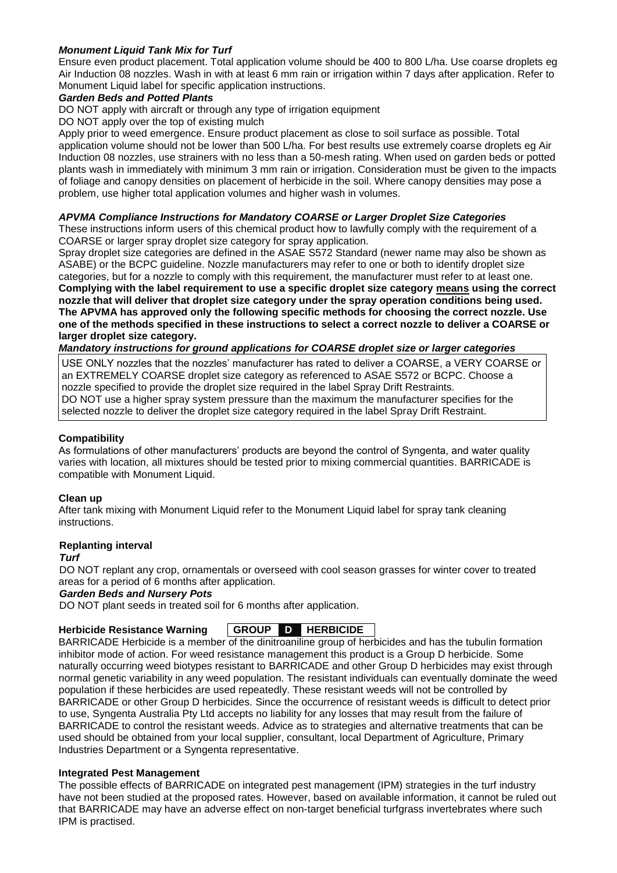# *Monument Liquid Tank Mix for Turf*

Ensure even product placement. Total application volume should be 400 to 800 L/ha. Use coarse droplets eg Air Induction 08 nozzles. Wash in with at least 6 mm rain or irrigation within 7 days after application. Refer to Monument Liquid label for specific application instructions.

## *Garden Beds and Potted Plants*

DO NOT apply with aircraft or through any type of irrigation equipment

DO NOT apply over the top of existing mulch

Apply prior to weed emergence. Ensure product placement as close to soil surface as possible. Total application volume should not be lower than 500 L/ha. For best results use extremely coarse droplets eg Air Induction 08 nozzles, use strainers with no less than a 50-mesh rating. When used on garden beds or potted plants wash in immediately with minimum 3 mm rain or irrigation. Consideration must be given to the impacts of foliage and canopy densities on placement of herbicide in the soil. Where canopy densities may pose a problem, use higher total application volumes and higher wash in volumes.

#### *APVMA Compliance Instructions for Mandatory COARSE or Larger Droplet Size Categories*

These instructions inform users of this chemical product how to lawfully comply with the requirement of a COARSE or larger spray droplet size category for spray application.

Spray droplet size categories are defined in the ASAE S572 Standard (newer name may also be shown as ASABE) or the BCPC guideline. Nozzle manufacturers may refer to one or both to identify droplet size categories, but for a nozzle to comply with this requirement, the manufacturer must refer to at least one.

**Complying with the label requirement to use a specific droplet size category means using the correct nozzle that will deliver that droplet size category under the spray operation conditions being used. The APVMA has approved only the following specific methods for choosing the correct nozzle. Use one of the methods specified in these instructions to select a correct nozzle to deliver a COARSE or larger droplet size category.** 

# *Mandatory instructions for ground applications for COARSE droplet size or larger categories*

USE ONLY nozzles that the nozzles' manufacturer has rated to deliver a COARSE, a VERY COARSE or an EXTREMELY COARSE droplet size category as referenced to ASAE S572 or BCPC. Choose a nozzle specified to provide the droplet size required in the label Spray Drift Restraints. DO NOT use a higher spray system pressure than the maximum the manufacturer specifies for the selected nozzle to deliver the droplet size category required in the label Spray Drift Restraint.

### **Compatibility**

As formulations of other manufacturers' products are beyond the control of Syngenta, and water quality varies with location, all mixtures should be tested prior to mixing commercial quantities. BARRICADE is compatible with Monument Liquid.

#### **Clean up**

After tank mixing with Monument Liquid refer to the Monument Liquid label for spray tank cleaning instructions.

#### **Replanting interval**

*Turf*

DO NOT replant any crop, ornamentals or overseed with cool season grasses for winter cover to treated areas for a period of 6 months after application.

#### *Garden Beds and Nursery Pots*

DO NOT plant seeds in treated soil for 6 months after application.

#### **Herbicide Resistance Warning GROUP D HERBICIDE**

BARRICADE Herbicide is a member of the dinitroaniline group of herbicides and has the tubulin formation inhibitor mode of action. For weed resistance management this product is a Group D herbicide. Some naturally occurring weed biotypes resistant to BARRICADE and other Group D herbicides may exist through normal genetic variability in any weed population. The resistant individuals can eventually dominate the weed population if these herbicides are used repeatedly. These resistant weeds will not be controlled by BARRICADE or other Group D herbicides. Since the occurrence of resistant weeds is difficult to detect prior to use, Syngenta Australia Pty Ltd accepts no liability for any losses that may result from the failure of BARRICADE to control the resistant weeds. Advice as to strategies and alternative treatments that can be used should be obtained from your local supplier, consultant, local Department of Agriculture, Primary Industries Department or a Syngenta representative.

#### **Integrated Pest Management**

The possible effects of BARRICADE on integrated pest management (IPM) strategies in the turf industry have not been studied at the proposed rates. However, based on available information, it cannot be ruled out that BARRICADE may have an adverse effect on non-target beneficial turfgrass invertebrates where such IPM is practised.